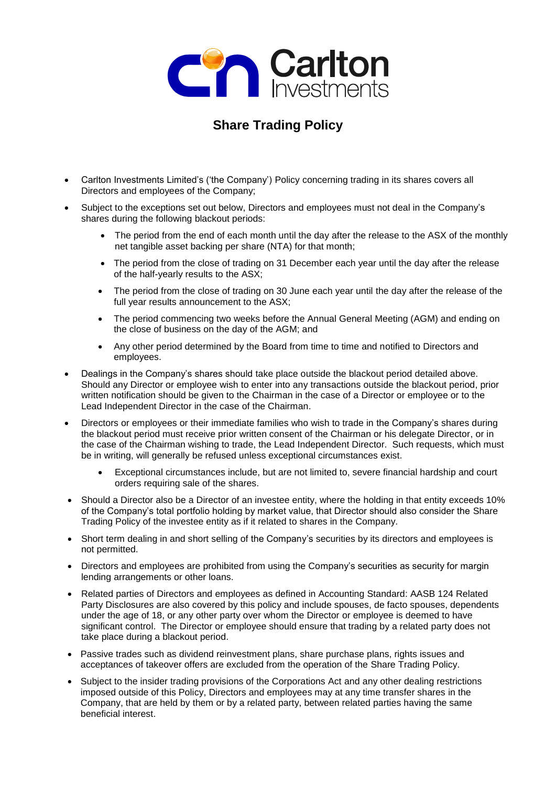

## **Share Trading Policy**

- Carlton Investments Limited's ('the Company') Policy concerning trading in its shares covers all Directors and employees of the Company;
- Subject to the exceptions set out below, Directors and employees must not deal in the Company's shares during the following blackout periods:
	- The period from the end of each month until the day after the release to the ASX of the monthly net tangible asset backing per share (NTA) for that month;
	- The period from the close of trading on 31 December each year until the day after the release of the half-yearly results to the ASX;
	- The period from the close of trading on 30 June each year until the day after the release of the full year results announcement to the ASX;
	- The period commencing two weeks before the Annual General Meeting (AGM) and ending on the close of business on the day of the AGM; and
	- Any other period determined by the Board from time to time and notified to Directors and employees.
- Dealings in the Company's shares should take place outside the blackout period detailed above. Should any Director or employee wish to enter into any transactions outside the blackout period, prior written notification should be given to the Chairman in the case of a Director or employee or to the Lead Independent Director in the case of the Chairman.
- Directors or employees or their immediate families who wish to trade in the Company's shares during the blackout period must receive prior written consent of the Chairman or his delegate Director, or in the case of the Chairman wishing to trade, the Lead Independent Director. Such requests, which must be in writing, will generally be refused unless exceptional circumstances exist.
	- Exceptional circumstances include, but are not limited to, severe financial hardship and court orders requiring sale of the shares.
- Should a Director also be a Director of an investee entity, where the holding in that entity exceeds 10% of the Company's total portfolio holding by market value, that Director should also consider the Share Trading Policy of the investee entity as if it related to shares in the Company.
- Short term dealing in and short selling of the Company's securities by its directors and employees is not permitted.
- Directors and employees are prohibited from using the Company's securities as security for margin lending arrangements or other loans.
- Related parties of Directors and employees as defined in Accounting Standard: AASB 124 Related Party Disclosures are also covered by this policy and include spouses, de facto spouses, dependents under the age of 18, or any other party over whom the Director or employee is deemed to have significant control. The Director or employee should ensure that trading by a related party does not take place during a blackout period.
- Passive trades such as dividend reinvestment plans, share purchase plans, rights issues and acceptances of takeover offers are excluded from the operation of the Share Trading Policy.
- Subject to the insider trading provisions of the Corporations Act and any other dealing restrictions imposed outside of this Policy, Directors and employees may at any time transfer shares in the Company, that are held by them or by a related party, between related parties having the same beneficial interest.